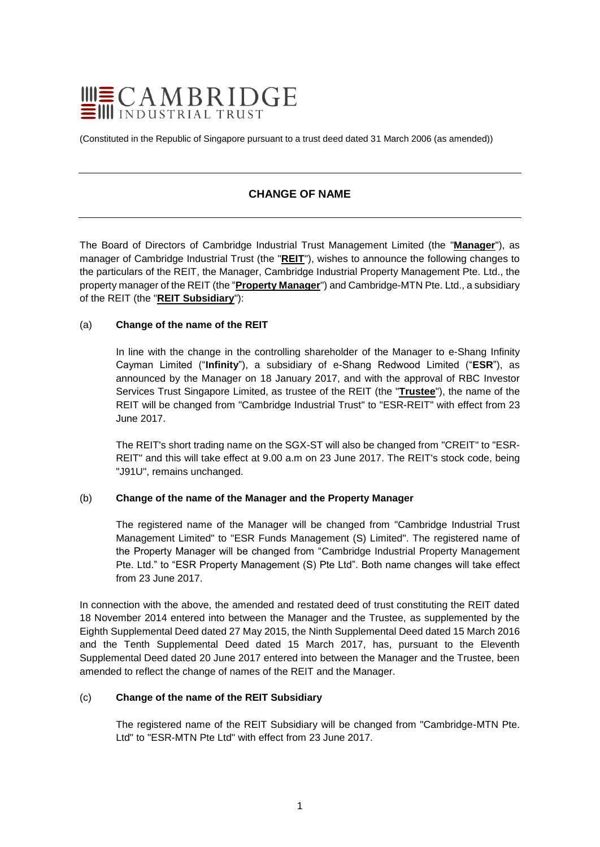

(Constituted in the Republic of Singapore pursuant to a trust deed dated 31 March 2006 (as amended))

# **CHANGE OF NAME**

The Board of Directors of Cambridge Industrial Trust Management Limited (the "**Manager**"), as manager of Cambridge Industrial Trust (the "**REIT**"), wishes to announce the following changes to the particulars of the REIT, the Manager, Cambridge Industrial Property Management Pte. Ltd., the property manager of the REIT (the "**Property Manager**") and Cambridge-MTN Pte. Ltd., a subsidiary of the REIT (the "**REIT Subsidiary**"):

## (a) **Change of the name of the REIT**

In line with the change in the controlling shareholder of the Manager to e-Shang Infinity Cayman Limited ("**Infinity**"), a subsidiary of e-Shang Redwood Limited ("**ESR**"), as announced by the Manager on 18 January 2017, and with the approval of RBC Investor Services Trust Singapore Limited, as trustee of the REIT (the "**Trustee**"), the name of the REIT will be changed from "Cambridge Industrial Trust" to "ESR-REIT" with effect from 23 June 2017.

The REIT's short trading name on the SGX-ST will also be changed from "CREIT" to "ESR-REIT" and this will take effect at 9.00 a.m on 23 June 2017. The REIT's stock code, being "J91U", remains unchanged.

## (b) **Change of the name of the Manager and the Property Manager**

The registered name of the Manager will be changed from "Cambridge Industrial Trust Management Limited" to "ESR Funds Management (S) Limited". The registered name of the Property Manager will be changed from "Cambridge Industrial Property Management Pte. Ltd." to "ESR Property Management (S) Pte Ltd". Both name changes will take effect from 23 June 2017.

In connection with the above, the amended and restated deed of trust constituting the REIT dated 18 November 2014 entered into between the Manager and the Trustee, as supplemented by the Eighth Supplemental Deed dated 27 May 2015, the Ninth Supplemental Deed dated 15 March 2016 and the Tenth Supplemental Deed dated 15 March 2017, has, pursuant to the Eleventh Supplemental Deed dated 20 June 2017 entered into between the Manager and the Trustee, been amended to reflect the change of names of the REIT and the Manager.

#### (c) **Change of the name of the REIT Subsidiary**

The registered name of the REIT Subsidiary will be changed from "Cambridge-MTN Pte. Ltd" to "ESR-MTN Pte Ltd" with effect from 23 June 2017.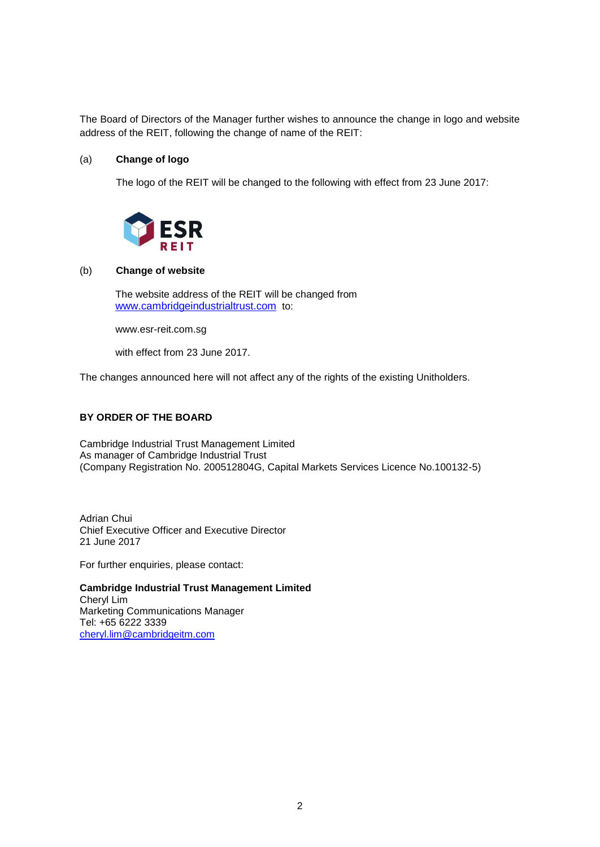The Board of Directors of the Manager further wishes to announce the change in logo and website address of the REIT, following the change of name of the REIT:

## (a) **Change of logo**

The logo of the REIT will be changed to the following with effect from 23 June 2017:



## (b) **Change of website**

The website address of the REIT will be changed from [www.cambridgeindustrialtrust.com](http://www.cambridgeindustrialtrust.com/) to:

www.esr-reit.com.sg

with effect from 23 June 2017.

The changes announced here will not affect any of the rights of the existing Unitholders.

# **BY ORDER OF THE BOARD**

Cambridge Industrial Trust Management Limited As manager of Cambridge Industrial Trust (Company Registration No. 200512804G, Capital Markets Services Licence No.100132-5)

Adrian Chui Chief Executive Officer and Executive Director 21 June 2017

For further enquiries, please contact:

**Cambridge Industrial Trust Management Limited**  Cheryl Lim Marketing Communications Manager Tel: +65 6222 3339 [cheryl.lim@cambridgeitm.com](mailto:cheryl.lim@cambridgeitm.com)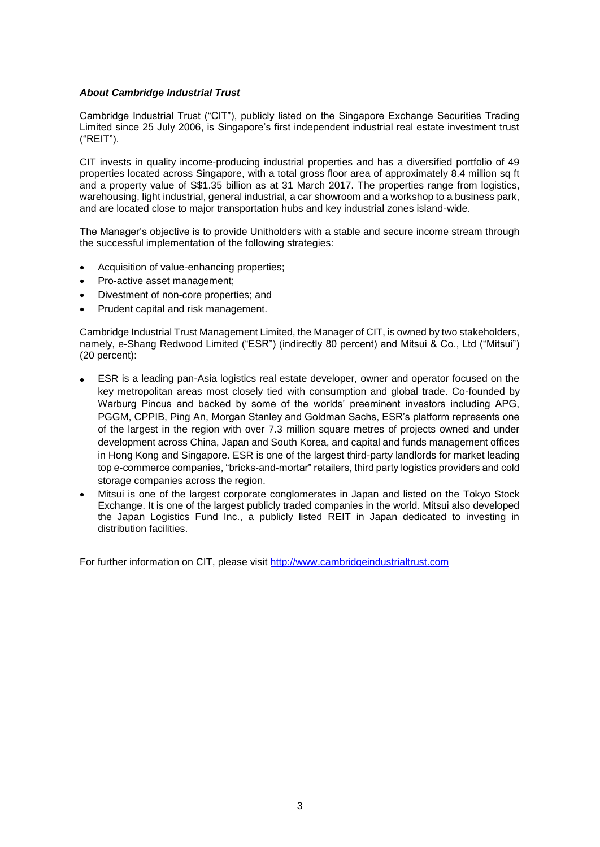## *About Cambridge Industrial Trust*

Cambridge Industrial Trust ("CIT"), publicly listed on the Singapore Exchange Securities Trading Limited since 25 July 2006, is Singapore's first independent industrial real estate investment trust ("REIT").

CIT invests in quality income-producing industrial properties and has a diversified portfolio of 49 properties located across Singapore, with a total gross floor area of approximately 8.4 million sq ft and a property value of S\$1.35 billion as at 31 March 2017. The properties range from logistics, warehousing, light industrial, general industrial, a car showroom and a workshop to a business park, and are located close to major transportation hubs and key industrial zones island-wide.

The Manager's objective is to provide Unitholders with a stable and secure income stream through the successful implementation of the following strategies:

- Acquisition of value-enhancing properties;
- Pro-active asset management;
- Divestment of non-core properties; and
- Prudent capital and risk management.

Cambridge Industrial Trust Management Limited, the Manager of CIT, is owned by two stakeholders, namely, e-Shang Redwood Limited ("ESR") (indirectly 80 percent) and Mitsui & Co., Ltd ("Mitsui") (20 percent):

- ESR is a leading pan-Asia logistics real estate developer, owner and operator focused on the key metropolitan areas most closely tied with consumption and global trade. Co-founded by Warburg Pincus and backed by some of the worlds' preeminent investors including APG, PGGM, CPPIB, Ping An, Morgan Stanley and Goldman Sachs, ESR's platform represents one of the largest in the region with over 7.3 million square metres of projects owned and under development across China, Japan and South Korea, and capital and funds management offices in Hong Kong and Singapore. ESR is one of the largest third-party landlords for market leading top e-commerce companies, "bricks-and-mortar" retailers, third party logistics providers and cold storage companies across the region.
- Mitsui is one of the largest corporate conglomerates in Japan and listed on the Tokyo Stock Exchange. It is one of the largest publicly traded companies in the world. Mitsui also developed the Japan Logistics Fund Inc., a publicly listed REIT in Japan dedicated to investing in distribution facilities.

For further information on CIT, please visit [http://www.cambridgeindustrialtrust.com](http://www.cambridgeindustrialtrust.com/)